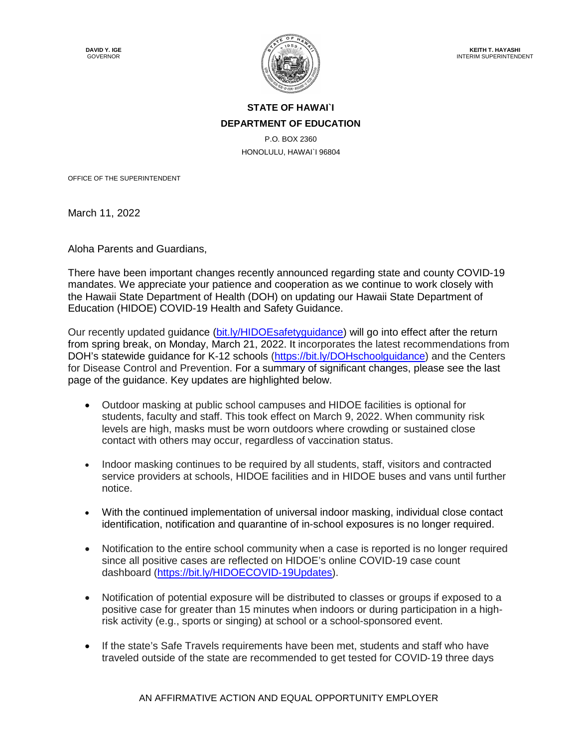

## **STATE OF HAWAI`I DEPARTMENT OF EDUCATION**

P.O. BOX 2360 HONOLULU, HAWAI`I 96804

OFFICE OF THE SUPERINTENDENT

March 11, 2022

Aloha Parents and Guardians,

There have been important changes recently announced regarding state and county COVID-19 mandates. We appreciate your patience and cooperation as we continue to work closely with the Hawaii State Department of Health (DOH) on updating our Hawaii State Department of Education (HIDOE) COVID-19 Health and Safety Guidance.

Our recently updated guidance (bit.ly/HIDOEsafetyguidance) will go into effect after the return from spring break, on Monday, March 21, 2022. It incorporates the latest recommendations from DOH's statewide guidance for K-12 schools (https://bit.ly/DOHschoolguidance) and the Centers for Disease Control and Prevention. For a summary of significant changes, please see the last page of the guidance. Key updates are highlighted below.

- Outdoor masking at public school campuses and HIDOE facilities is optional for students, faculty and staff. This took effect on March 9, 2022. When community risk levels are high, masks must be worn outdoors where crowding or sustained close contact with others may occur, regardless of vaccination status.
- Indoor masking continues to be required by all students, staff, visitors and contracted service providers at schools, HIDOE facilities and in HIDOE buses and vans until further notice.
- With the continued implementation of universal indoor masking, individual close contact identification, notification and quarantine of in-school exposures is no longer required.
- Notification to the entire school community when a case is reported is no longer required since all positive cases are reflected on HIDOE's online COVID-19 case count dashboard (https://bit.ly/HIDOECOVID-19Updates).
- Notification of potential exposure will be distributed to classes or groups if exposed to a positive case for greater than 15 minutes when indoors or during participation in a highrisk activity (e.g., sports or singing) at school or a school-sponsored event.
- If the state's Safe Travels requirements have been met, students and staff who have traveled outside of the state are recommended to get tested for COVID‐19 three days